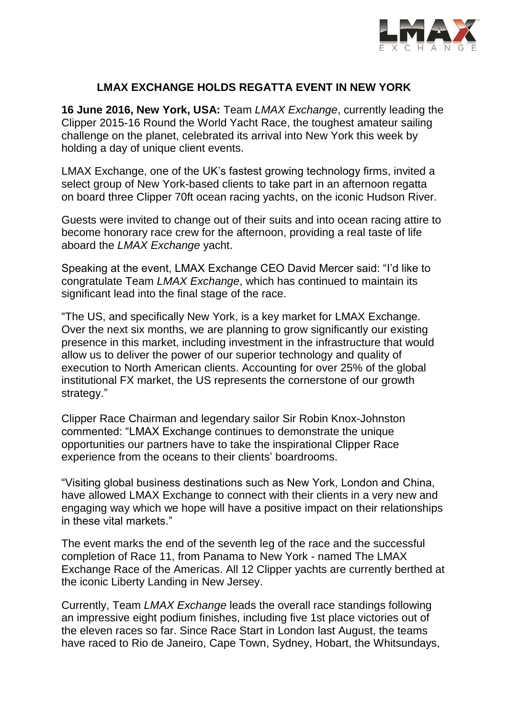

# **LMAX EXCHANGE HOLDS REGATTA EVENT IN NEW YORK**

**16 June 2016, New York, USA:** Team *LMAX Exchange*, currently leading the Clipper 2015-16 Round the World Yacht Race, the toughest amateur sailing challenge on the planet, celebrated its arrival into New York this week by holding a day of unique client events.

LMAX Exchange, one of the UK's fastest growing technology firms, invited a select group of New York-based clients to take part in an afternoon regatta on board three Clipper 70ft ocean racing yachts, on the iconic Hudson River.

Guests were invited to change out of their suits and into ocean racing attire to become honorary race crew for the afternoon, providing a real taste of life aboard the *LMAX Exchange* yacht.

Speaking at the event, LMAX Exchange CEO David Mercer said: "I'd like to congratulate Team *LMAX Exchange*, which has continued to maintain its significant lead into the final stage of the race.

"The US, and specifically New York, is a key market for LMAX Exchange. Over the next six months, we are planning to grow significantly our existing presence in this market, including investment in the infrastructure that would allow us to deliver the power of our superior technology and quality of execution to North American clients. Accounting for over 25% of the global institutional FX market, the US represents the cornerstone of our growth strategy."

Clipper Race Chairman and legendary sailor Sir Robin Knox-Johnston commented: "LMAX Exchange continues to demonstrate the unique opportunities our partners have to take the inspirational Clipper Race experience from the oceans to their clients' boardrooms.

"Visiting global business destinations such as New York, London and China, have allowed LMAX Exchange to connect with their clients in a very new and engaging way which we hope will have a positive impact on their relationships in these vital markets."

The event marks the end of the seventh leg of the race and the successful completion of Race 11, from Panama to New York - named The LMAX Exchange Race of the Americas. All 12 Clipper yachts are currently berthed at the iconic Liberty Landing in New Jersey.

Currently, Team *LMAX Exchange* leads the overall race standings following an impressive eight podium finishes, including five 1st place victories out of the eleven races so far. Since Race Start in London last August, the teams have raced to Rio de Janeiro, Cape Town, Sydney, Hobart, the Whitsundays,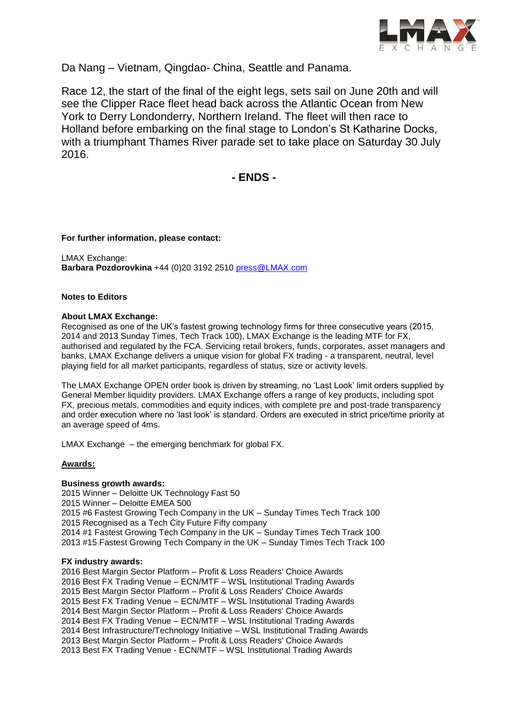

Da Nang – Vietnam, Qingdao- China, Seattle and Panama.

Race 12, the start of the final of the eight legs, sets sail on June 20th and will see the Clipper Race fleet head back across the Atlantic Ocean from New York to Derry Londonderry, Northern Ireland. The fleet will then race to Holland before embarking on the final stage to London's St Katharine Docks, with a triumphant Thames River parade set to take place on Saturday 30 July 2016.

**- ENDS -**

# **For further information, please contact:**

LMAX Exchange: **Barbara Pozdorovkina** +44 (0)20 3192 2510 [press@LMAX.com](mailto:press@LMAX.com)

# **Notes to Editors**

# **About LMAX Exchange:**

Recognised as one of the UK's fastest growing technology firms for three consecutive years (2015, 2014 and 2013 Sunday Times, Tech Track 100), LMAX Exchange is the leading MTF for FX, authorised and regulated by the FCA. Servicing retail brokers, funds, corporates, asset managers and banks, LMAX Exchange delivers a unique vision for global FX trading - a transparent, neutral, level playing field for all market participants, regardless of status, size or activity levels.

The LMAX Exchange OPEN order book is driven by streaming, no 'Last Look' limit orders supplied by General Member liquidity providers. LMAX Exchange offers a range of key products, including spot FX, precious metals, commodities and equity indices, with complete pre and post-trade transparency and order execution where no 'last look' is standard. Orders are executed in strict price/time priority at an average speed of 4ms.

LMAX Exchange – the emerging benchmark for global FX.

# **Awards:**

#### **Business growth awards:**

2015 Winner – Deloitte UK Technology Fast 50 2015 Winner – Deloitte EMEA 500 2015 #6 Fastest Growing Tech Company in the UK – Sunday Times Tech Track 100 2015 Recognised as a Tech City Future Fifty company 2014 #1 Fastest Growing Tech Company in the UK – Sunday Times Tech Track 100 2013 #15 Fastest Growing Tech Company in the UK – Sunday Times Tech Track 100

#### **FX industry awards:**

2016 Best Margin Sector Platform – Profit & Loss Readers' Choice Awards 2016 Best FX Trading Venue – ECN/MTF – WSL Institutional Trading Awards 2015 Best Margin Sector Platform – Profit & Loss Readers' Choice Awards 2015 Best FX Trading Venue – ECN/MTF – WSL Institutional Trading Awards 2014 Best Margin Sector Platform – Profit & Loss Readers' Choice Awards 2014 Best FX Trading Venue – ECN/MTF – WSL Institutional Trading Awards 2014 Best Infrastructure/Technology Initiative – WSL Institutional Trading Awards 2013 Best Margin Sector Platform – Profit & Loss Readers' Choice Awards 2013 Best FX Trading Venue - ECN/MTF – WSL Institutional Trading Awards